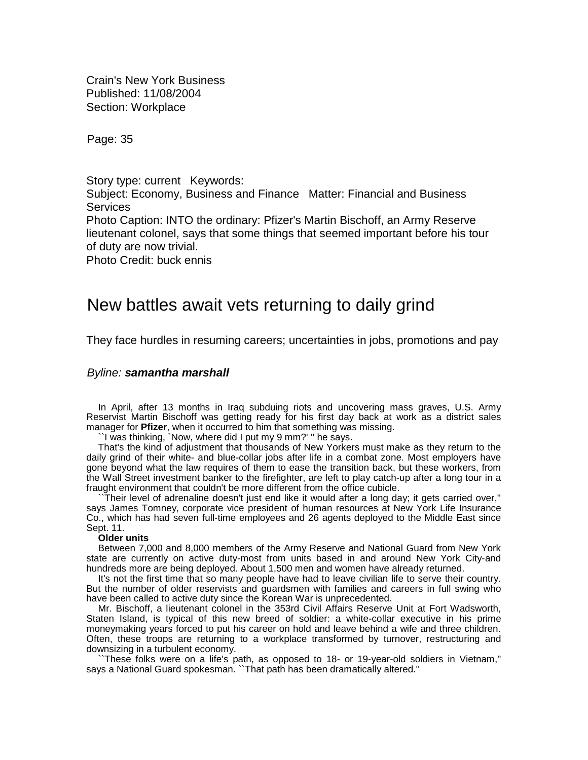Crain's New York Business Published: 11/08/2004 Section: Workplace

Page: 35

Story type: current Keywords: Subject: Economy, Business and Finance Matter: Financial and Business **Services** Photo Caption: INTO the ordinary: Pfizer's Martin Bischoff, an Army Reserve lieutenant colonel, says that some things that seemed important before his tour of duty are now trivial. Photo Credit: buck ennis

# New battles await vets returning to daily grind

They face hurdles in resuming careers; uncertainties in jobs, promotions and pay

## *Byline: samantha marshall*

In April, after 13 months in Iraq subduing riots and uncovering mass graves, U.S. Army Reservist Martin Bischoff was getting ready for his first day back at work as a district sales manager for **Pfizer**, when it occurred to him that something was missing.

``I was thinking, `Now, where did I put my 9 mm?' '' he says.

That's the kind of adjustment that thousands of New Yorkers must make as they return to the daily grind of their white- and blue-collar jobs after life in a combat zone. Most employers have gone beyond what the law requires of them to ease the transition back, but these workers, from the Wall Street investment banker to the firefighter, are left to play catch-up after a long tour in a fraught environment that couldn't be more different from the office cubicle.

``Their level of adrenaline doesn't just end like it would after a long day; it gets carried over,'' says James Tomney, corporate vice president of human resources at New York Life Insurance Co., which has had seven full-time employees and 26 agents deployed to the Middle East since Sept. 11.

## **Older units**

Between 7,000 and 8,000 members of the Army Reserve and National Guard from New York state are currently on active duty-most from units based in and around New York City-and hundreds more are being deployed. About 1,500 men and women have already returned.

It's not the first time that so many people have had to leave civilian life to serve their country. But the number of older reservists and guardsmen with families and careers in full swing who have been called to active duty since the Korean War is unprecedented.

Mr. Bischoff, a lieutenant colonel in the 353rd Civil Affairs Reserve Unit at Fort Wadsworth, Staten Island, is typical of this new breed of soldier: a white-collar executive in his prime moneymaking years forced to put his career on hold and leave behind a wife and three children. Often, these troops are returning to a workplace transformed by turnover, restructuring and downsizing in a turbulent economy.

``These folks were on a life's path, as opposed to 18- or 19-year-old soldiers in Vietnam,'' says a National Guard spokesman. ``That path has been dramatically altered.''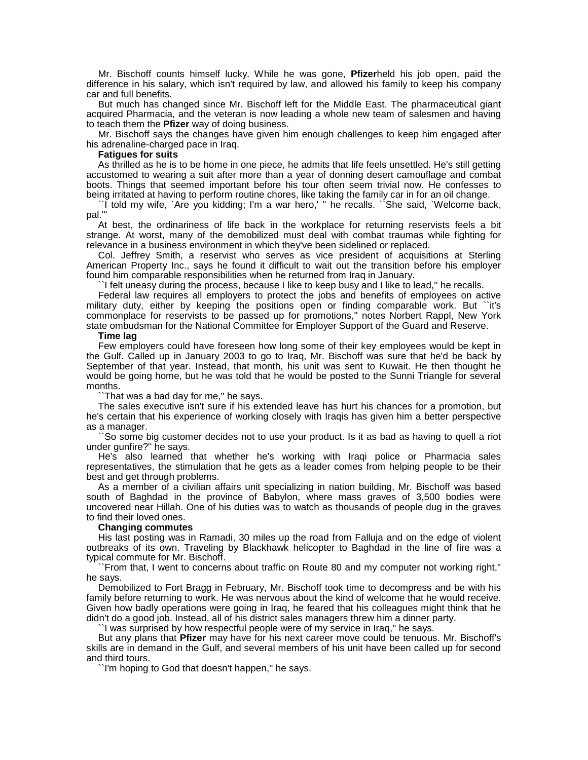Mr. Bischoff counts himself lucky. While he was gone, **Pfizer**held his job open, paid the difference in his salary, which isn't required by law, and allowed his family to keep his company car and full benefits.

But much has changed since Mr. Bischoff left for the Middle East. The pharmaceutical giant acquired Pharmacia, and the veteran is now leading a whole new team of salesmen and having to teach them the **Pfizer** way of doing business.

Mr. Bischoff says the changes have given him enough challenges to keep him engaged after his adrenaline-charged pace in Iraq.

#### **Fatigues for suits**

As thrilled as he is to be home in one piece, he admits that life feels unsettled. He's still getting accustomed to wearing a suit after more than a year of donning desert camouflage and combat boots. Things that seemed important before his tour often seem trivial now. He confesses to being irritated at having to perform routine chores, like taking the family car in for an oil change.

``I told my wife, `Are you kidding; I'm a war hero,' '' he recalls. ``She said, `Welcome back, pal.'''

At best, the ordinariness of life back in the workplace for returning reservists feels a bit strange. At worst, many of the demobilized must deal with combat traumas while fighting for relevance in a business environment in which they've been sidelined or replaced.

Col. Jeffrey Smith, a reservist who serves as vice president of acquisitions at Sterling American Property Inc., says he found it difficult to wait out the transition before his employer found him comparable responsibilities when he returned from Iraq in January.

``I felt uneasy during the process, because I like to keep busy and I like to lead,'' he recalls.

Federal law requires all employers to protect the jobs and benefits of employees on active military duty, either by keeping the positions open or finding comparable work. But ``it's commonplace for reservists to be passed up for promotions,'' notes Norbert Rappl, New York state ombudsman for the National Committee for Employer Support of the Guard and Reserve.

## **Time lag**

Few employers could have foreseen how long some of their key employees would be kept in the Gulf. Called up in January 2003 to go to Iraq, Mr. Bischoff was sure that he'd be back by September of that year. Instead, that month, his unit was sent to Kuwait. He then thought he would be going home, but he was told that he would be posted to the Sunni Triangle for several months.

That was a bad day for me," he says.

The sales executive isn't sure if his extended leave has hurt his chances for a promotion, but he's certain that his experience of working closely with Iraqis has given him a better perspective as a manager.

``So some big customer decides not to use your product. Is it as bad as having to quell a riot under gunfire?'' he says.

He's also learned that whether he's working with Iraqi police or Pharmacia sales representatives, the stimulation that he gets as a leader comes from helping people to be their best and get through problems.

As a member of a civilian affairs unit specializing in nation building, Mr. Bischoff was based south of Baghdad in the province of Babylon, where mass graves of 3,500 bodies were uncovered near Hillah. One of his duties was to watch as thousands of people dug in the graves to find their loved ones.

## **Changing commutes**

His last posting was in Ramadi, 30 miles up the road from Falluja and on the edge of violent outbreaks of its own. Traveling by Blackhawk helicopter to Baghdad in the line of fire was a typical commute for Mr. Bischoff.

``From that, I went to concerns about traffic on Route 80 and my computer not working right,'' he says.

Demobilized to Fort Bragg in February, Mr. Bischoff took time to decompress and be with his family before returning to work. He was nervous about the kind of welcome that he would receive. Given how badly operations were going in Iraq, he feared that his colleagues might think that he didn't do a good job. Instead, all of his district sales managers threw him a dinner party.

``I was surprised by how respectful people were of my service in Iraq,'' he says.

But any plans that **Pfizer** may have for his next career move could be tenuous. Mr. Bischoff's skills are in demand in the Gulf, and several members of his unit have been called up for second and third tours.

I'm hoping to God that doesn't happen," he says.